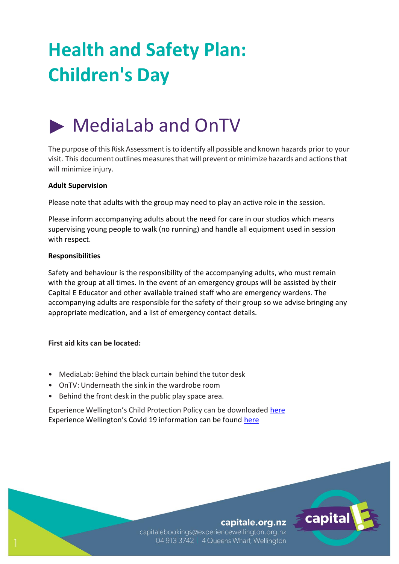# **Health and Safety Plan: Children's Day**

## MediaLab and OnTV

The purpose of this Risk Assessment is to identify all possible and known hazards prior to your visit. This document outlines measures that will prevent orminimize hazards and actions that will minimize injury.

#### **Adult Supervision**

Please note that adults with the group may need to play an active role in the session.

Please inform accompanying adults about the need for care in our studios which means supervising young people to walk (no running) and handle all equipment used in session with respect.

#### **Responsibilities**

Safety and behaviour is the responsibility of the accompanying adults, who must remain with the group at all times. In the event of an emergency groups will be assisted by their Capital E Educator and other available trained staff who are emergency wardens. The accompanying adults are responsible for the safety of their group so we advise bringing any appropriate medication, and a list of emergency contact details.

#### **First aid kits can be located:**

- MediaLab: Behind the black curtain behind the tutor desk
- OnTV: Underneath the sink in the wardrobe room
- Behind the front desk in the public play space area.

Experience Wellington's Child Protection Policy can be downloaded [here](http://experiencewellington.org.nz/wp-content/uploads/2017/08/170808_ExperienceWellington_ChildProtectionPolicy.pdf) Experience Wellington's Covid 19 information can be found [here](http://experiencewellington.org.nz/experience-wellington-covid-19-faqs/)

#### capitale.org.nz

capital

capitalebookings@experiencewellington.org.nz 04 913 3742 | 4 Queens Wharf, Wellington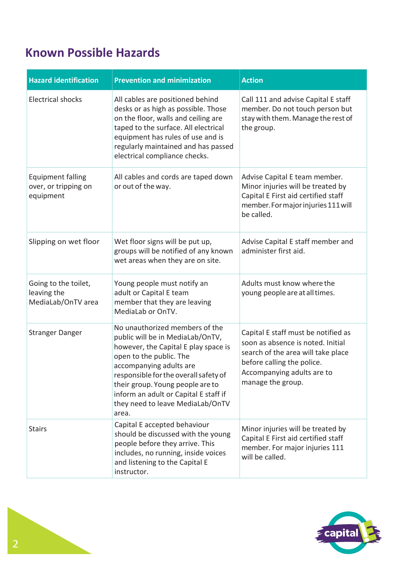### **Known Possible Hazards**

| <b>Hazard identification</b>                                  | <b>Prevention and minimization</b>                                                                                                                                                                                                                                                                                                  | <b>Action</b>                                                                                                                                                                                   |
|---------------------------------------------------------------|-------------------------------------------------------------------------------------------------------------------------------------------------------------------------------------------------------------------------------------------------------------------------------------------------------------------------------------|-------------------------------------------------------------------------------------------------------------------------------------------------------------------------------------------------|
| <b>Electrical shocks</b>                                      | All cables are positioned behind<br>desks or as high as possible. Those<br>on the floor, walls and ceiling are<br>taped to the surface. All electrical<br>equipment has rules of use and is<br>regularly maintained and has passed<br>electrical compliance checks.                                                                 | Call 111 and advise Capital E staff<br>member. Do not touch person but<br>stay with them. Manage the rest of<br>the group.                                                                      |
| <b>Equipment falling</b><br>over, or tripping on<br>equipment | All cables and cords are taped down<br>or out of the way.                                                                                                                                                                                                                                                                           | Advise Capital E team member.<br>Minor injuries will be treated by<br>Capital E First aid certified staff<br>member. For major injuries 111 will<br>be called.                                  |
| Slipping on wet floor                                         | Wet floor signs will be put up,<br>groups will be notified of any known<br>wet areas when they are on site.                                                                                                                                                                                                                         | Advise Capital E staff member and<br>administer first aid.                                                                                                                                      |
| Going to the toilet,<br>leaving the<br>MediaLab/OnTV area     | Young people must notify an<br>adult or Capital E team<br>member that they are leaving<br>MediaLab or OnTV.                                                                                                                                                                                                                         | Adults must know where the<br>young people are at all times.                                                                                                                                    |
| <b>Stranger Danger</b>                                        | No unauthorized members of the<br>public will be in MediaLab/OnTV,<br>however, the Capital E play space is<br>open to the public. The<br>accompanying adults are<br>responsible for the overall safety of<br>their group. Young people are to<br>inform an adult or Capital E staff if<br>they need to leave MediaLab/OnTV<br>area. | Capital E staff must be notified as<br>soon as absence is noted. Initial<br>search of the area will take place<br>before calling the police.<br>Accompanying adults are to<br>manage the group. |
| <b>Stairs</b>                                                 | Capital E accepted behaviour<br>should be discussed with the young<br>people before they arrive. This<br>includes, no running, inside voices<br>and listening to the Capital E<br>instructor.                                                                                                                                       | Minor injuries will be treated by<br>Capital E First aid certified staff<br>member. For major injuries 111<br>will be called.                                                                   |

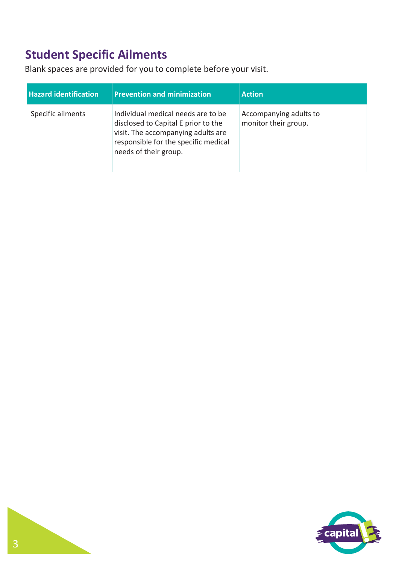### **Student Specific Ailments**

Blank spaces are provided for you to complete before your visit.

| <b>Hazard identification</b> | <b>Prevention and minimization</b>                                                                                                                                               | <b>Action</b>                                  |
|------------------------------|----------------------------------------------------------------------------------------------------------------------------------------------------------------------------------|------------------------------------------------|
| Specific ailments            | Individual medical needs are to be<br>disclosed to Capital E prior to the<br>visit. The accompanying adults are<br>responsible for the specific medical<br>needs of their group. | Accompanying adults to<br>monitor their group. |

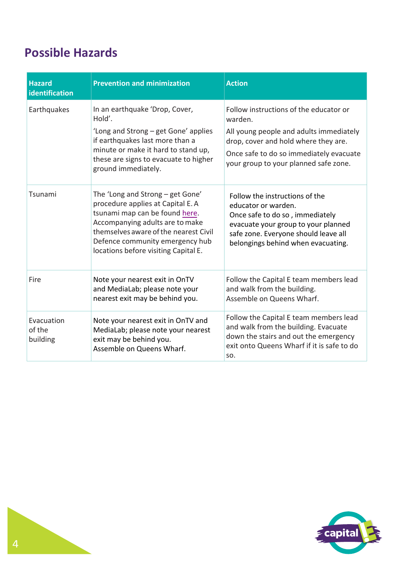### **Possible Hazards**

| <b>Hazard</b><br>identification  | <b>Prevention and minimization</b>                                                                                                                                                                                                                             | <b>Action</b>                                                                                                                                                                                                            |
|----------------------------------|----------------------------------------------------------------------------------------------------------------------------------------------------------------------------------------------------------------------------------------------------------------|--------------------------------------------------------------------------------------------------------------------------------------------------------------------------------------------------------------------------|
| Earthquakes                      | In an earthquake 'Drop, Cover,<br>Hold'.<br>'Long and Strong - get Gone' applies<br>if earthquakes last more than a<br>minute or make it hard to stand up,<br>these are signs to evacuate to higher<br>ground immediately.                                     | Follow instructions of the educator or<br>warden.<br>All young people and adults immediately<br>drop, cover and hold where they are.<br>Once safe to do so immediately evacuate<br>your group to your planned safe zone. |
| Tsunami                          | The 'Long and Strong - get Gone'<br>procedure applies at Capital E. A<br>tsunami map can be found here.<br>Accompanying adults are to make<br>themselves aware of the nearest Civil<br>Defence community emergency hub<br>locations before visiting Capital E. | Follow the instructions of the<br>educator or warden.<br>Once safe to do so, immediately<br>evacuate your group to your planned<br>safe zone. Everyone should leave all<br>belongings behind when evacuating.            |
| Fire                             | Note your nearest exit in OnTV<br>and MediaLab; please note your<br>nearest exit may be behind you.                                                                                                                                                            | Follow the Capital E team members lead<br>and walk from the building.<br>Assemble on Queens Wharf.                                                                                                                       |
| Evacuation<br>of the<br>building | Note your nearest exit in OnTV and<br>MediaLab; please note your nearest<br>exit may be behind you.<br>Assemble on Queens Wharf.                                                                                                                               | Follow the Capital E team members lead<br>and walk from the building. Evacuate<br>down the stairs and out the emergency<br>exit onto Queens Wharf if it is safe to do<br>SO.                                             |

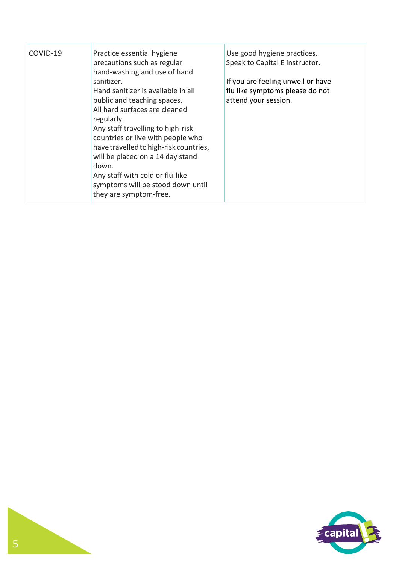| COVID-19 | Practice essential hygiene<br>precautions such as regular<br>hand-washing and use of hand                                                                                                                                                                                                                                                                                           | Use good hygiene practices.<br>Speak to Capital E instructor. |
|----------|-------------------------------------------------------------------------------------------------------------------------------------------------------------------------------------------------------------------------------------------------------------------------------------------------------------------------------------------------------------------------------------|---------------------------------------------------------------|
|          | sanitizer.                                                                                                                                                                                                                                                                                                                                                                          | If you are feeling unwell or have                             |
|          | Hand sanitizer is available in all<br>public and teaching spaces.<br>All hard surfaces are cleaned<br>regularly.<br>Any staff travelling to high-risk<br>countries or live with people who<br>have travelled to high-risk countries,<br>will be placed on a 14 day stand<br>down.<br>Any staff with cold or flu-like<br>symptoms will be stood down until<br>they are symptom-free. | flu like symptoms please do not<br>attend your session.       |